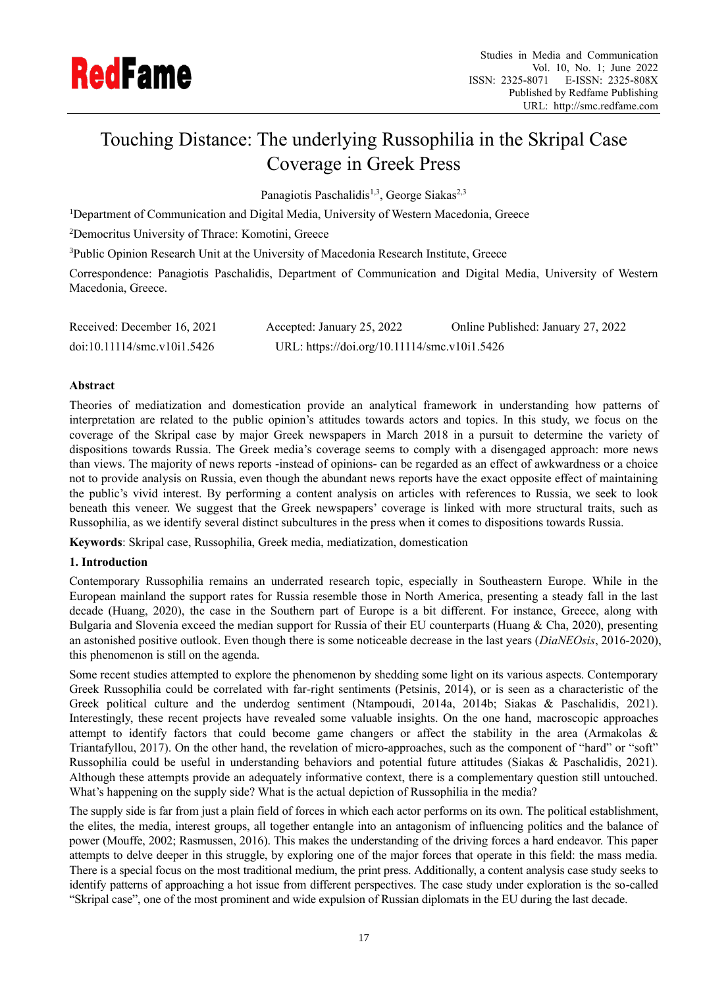

# Touching Distance: The underlying Russophilia in the Skripal Case Coverage in Greek Press

Panagiotis Paschalidis<sup>1,3</sup>, George Siakas<sup>2,3</sup>

<sup>1</sup>Department of Communication and Digital Media, University of Western Macedonia, Greece

<sup>2</sup>Democritus University of Thrace: Komotini, Greece

<sup>3</sup>Public Opinion Research Unit at the University of Macedonia Research Institute, Greece

Correspondence: Panagiotis Paschalidis, Department of Communication and Digital Media, University of Western Macedonia, Greece.

| Received: December 16, 2021 | Accepted: January 25, 2022                   | Online Published: January 27, 2022 |
|-----------------------------|----------------------------------------------|------------------------------------|
| doi:10.11114/smc.v10i1.5426 | URL: https://doi.org/10.11114/smc.v10i1.5426 |                                    |

# **Abstract**

Theories of mediatization and domestication provide an analytical framework in understanding how patterns of interpretation are related to the public opinion's attitudes towards actors and topics. In this study, we focus on the coverage of the Skripal case by major Greek newspapers in March 2018 in a pursuit to determine the variety of dispositions towards Russia. The Greek media's coverage seems to comply with a disengaged approach: more news than views. The majority of news reports -instead of opinions- can be regarded as an effect of awkwardness or a choice not to provide analysis on Russia, even though the abundant news reports have the exact opposite effect of maintaining the public's vivid interest. By performing a content analysis on articles with references to Russia, we seek to look beneath this veneer. We suggest that the Greek newspapers' coverage is linked with more structural traits, such as Russophilia, as we identify several distinct subcultures in the press when it comes to dispositions towards Russia.

**Keywords**: Skripal case, Russophilia, Greek media, mediatization, domestication

# **1. Introduction**

Contemporary Russophilia remains an underrated research topic, especially in Southeastern Europe. While in the European mainland the support rates for Russia resemble those in North America, presenting a steady fall in the last decade (Huang, 2020), the case in the Southern part of Europe is a bit different. For instance, Greece, along with Bulgaria and Slovenia exceed the median support for Russia of their EU counterparts (Huang & Cha, 2020), presenting an astonished positive outlook. Even though there is some noticeable decrease in the last years (*DiaNEOsis*, 2016-2020), this phenomenon is still on the agenda.

Some recent studies attempted to explore the phenomenon by shedding some light on its various aspects. Contemporary Greek Russophilia could be correlated with far-right sentiments (Petsinis, 2014), or is seen as a characteristic of the Greek political culture and the underdog sentiment (Ntampoudi, 2014a, 2014b; Siakas & Paschalidis, 2021). Interestingly, these recent projects have revealed some valuable insights. On the one hand, macroscopic approaches attempt to identify factors that could become game changers or affect the stability in the area (Armakolas & Triantafyllou, 2017). On the other hand, the revelation of micro-approaches, such as the component of "hard" or "soft" Russophilia could be useful in understanding behaviors and potential future attitudes (Siakas & Paschalidis, 2021). Although these attempts provide an adequately informative context, there is a complementary question still untouched. What's happening on the supply side? What is the actual depiction of Russophilia in the media?

The supply side is far from just a plain field of forces in which each actor performs on its own. The political establishment, the elites, the media, interest groups, all together entangle into an antagonism of influencing politics and the balance of power (Mouffe, 2002; Rasmussen, 2016). This makes the understanding of the driving forces a hard endeavor. This paper attempts to delve deeper in this struggle, by exploring one of the major forces that operate in this field: the mass media. There is a special focus on the most traditional medium, the print press. Additionally, a content analysis case study seeks to identify patterns of approaching a hot issue from different perspectives. The case study under exploration is the so-called "Skripal case", one of the most prominent and wide expulsion of Russian diplomats in the EU during the last decade.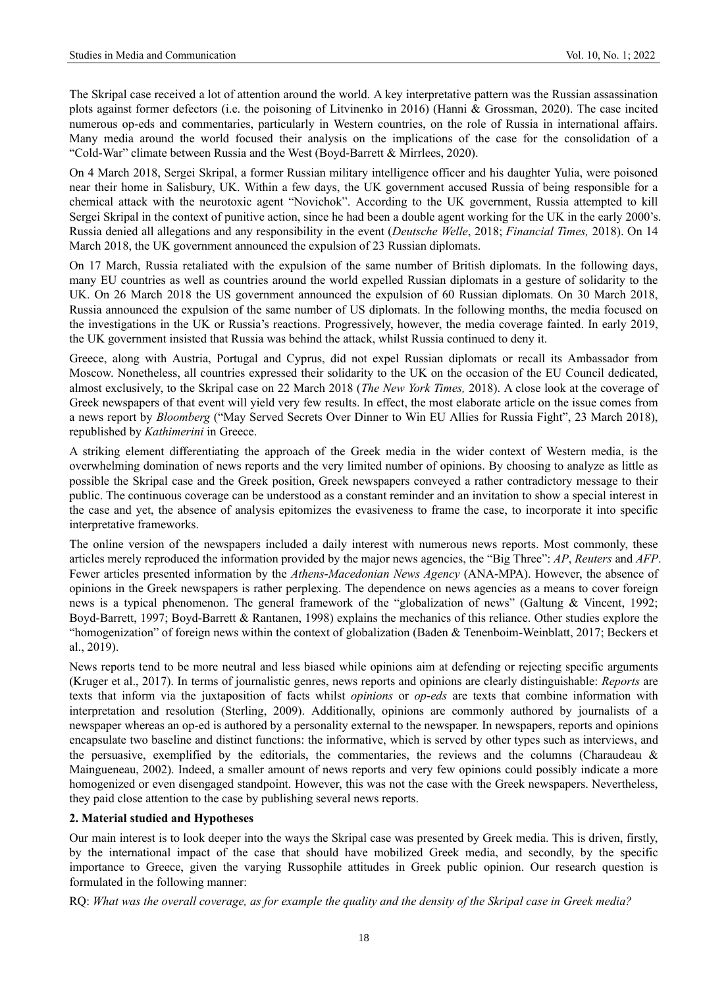The Skripal case received a lot of attention around the world. A key interpretative pattern was the Russian assassination plots against former defectors (i.e. the poisoning of Litvinenko in 2016) (Hanni & Grossman, 2020). The case incited numerous op-eds and commentaries, particularly in Western countries, on the role of Russia in international affairs. Many media around the world focused their analysis on the implications of the case for the consolidation of a "Cold-War" climate between Russia and the West (Boyd-Barrett & Mirrlees, 2020).

On 4 March 2018, Sergei Skripal, a former Russian military intelligence officer and his daughter Yulia, were poisoned near their home in Salisbury, UK. Within a few days, the UK government accused Russia of being responsible for a chemical attack with the neurotoxic agent "Novichok". According to the UK government, Russia attempted to kill Sergei Skripal in the context of punitive action, since he had been a double agent working for the UK in the early 2000's. Russia denied all allegations and any responsibility in the event (*Deutsche Welle*, 2018; *Financial Times,* 2018). On 14 March 2018, the UK government announced the expulsion of 23 Russian diplomats.

On 17 March, Russia retaliated with the expulsion of the same number of British diplomats. In the following days, many EU countries as well as countries around the world expelled Russian diplomats in a gesture of solidarity to the UK. On 26 March 2018 the US government announced the expulsion of 60 Russian diplomats. On 30 March 2018, Russia announced the expulsion of the same number of US diplomats. In the following months, the media focused on the investigations in the UK or Russia's reactions. Progressively, however, the media coverage fainted. In early 2019, the UK government insisted that Russia was behind the attack, whilst Russia continued to deny it.

Greece, along with Austria, Portugal and Cyprus, did not expel Russian diplomats or recall its Ambassador from Moscow. Nonetheless, all countries expressed their solidarity to the UK on the occasion of the EU Council dedicated, almost exclusively, to the Skripal case on 22 March 2018 (*The New York Times,* 2018). A close look at the coverage of Greek newspapers of that event will yield very few results. In effect, the most elaborate article on the issue comes from a news report by *Bloomberg* ("May Served Secrets Over Dinner to Win EU Allies for Russia Fight", 23 March 2018), republished by *Kathimerini* in Greece.

A striking element differentiating the approach of the Greek media in the wider context of Western media, is the overwhelming domination of news reports and the very limited number of opinions. By choosing to analyze as little as possible the Skripal case and the Greek position, Greek newspapers conveyed a rather contradictory message to their public. The continuous coverage can be understood as a constant reminder and an invitation to show a special interest in the case and yet, the absence of analysis epitomizes the evasiveness to frame the case, to incorporate it into specific interpretative frameworks.

The online version of the newspapers included a daily interest with numerous news reports. Most commonly, these articles merely reproduced the information provided by the major news agencies, the "Big Three": *AP*, *Reuters* and *AFP*. Fewer articles presented information by the *Athens-Macedonian News Agency* (ANA-MPA). However, the absence of opinions in the Greek newspapers is rather perplexing. The dependence on news agencies as a means to cover foreign news is a typical phenomenon. The general framework of the "globalization of news" (Galtung & Vincent, 1992; Boyd-Barrett, 1997; Boyd-Barrett & Rantanen, 1998) explains the mechanics of this reliance. Other studies explore the "homogenization" of foreign news within the context of globalization (Baden & Tenenboim-Weinblatt, 2017; Beckers et al., 2019).

News reports tend to be more neutral and less biased while opinions aim at defending or rejecting specific arguments (Kruger et al., 2017). In terms of journalistic genres, news reports and opinions are clearly distinguishable: *Reports* are texts that inform via the juxtaposition of facts whilst *opinions* or *op-eds* are texts that combine information with interpretation and resolution (Sterling, 2009). Additionally, opinions are commonly authored by journalists of a newspaper whereas an op-ed is authored by a personality external to the newspaper. In newspapers, reports and opinions encapsulate two baseline and distinct functions: the informative, which is served by other types such as interviews, and the persuasive, exemplified by the editorials, the commentaries, the reviews and the columns (Charaudeau & Maingueneau, 2002). Indeed, a smaller amount of news reports and very few opinions could possibly indicate a more homogenized or even disengaged standpoint. However, this was not the case with the Greek newspapers. Nevertheless, they paid close attention to the case by publishing several news reports.

# **2. Material studied and Hypotheses**

Our main interest is to look deeper into the ways the Skripal case was presented by Greek media. This is driven, firstly, by the international impact of the case that should have mobilized Greek media, and secondly, by the specific importance to Greece, given the varying Russophile attitudes in Greek public opinion. Our research question is formulated in the following manner:

RQ: *What was the overall coverage, as for example the quality and the density of the Skripal case in Greek media?*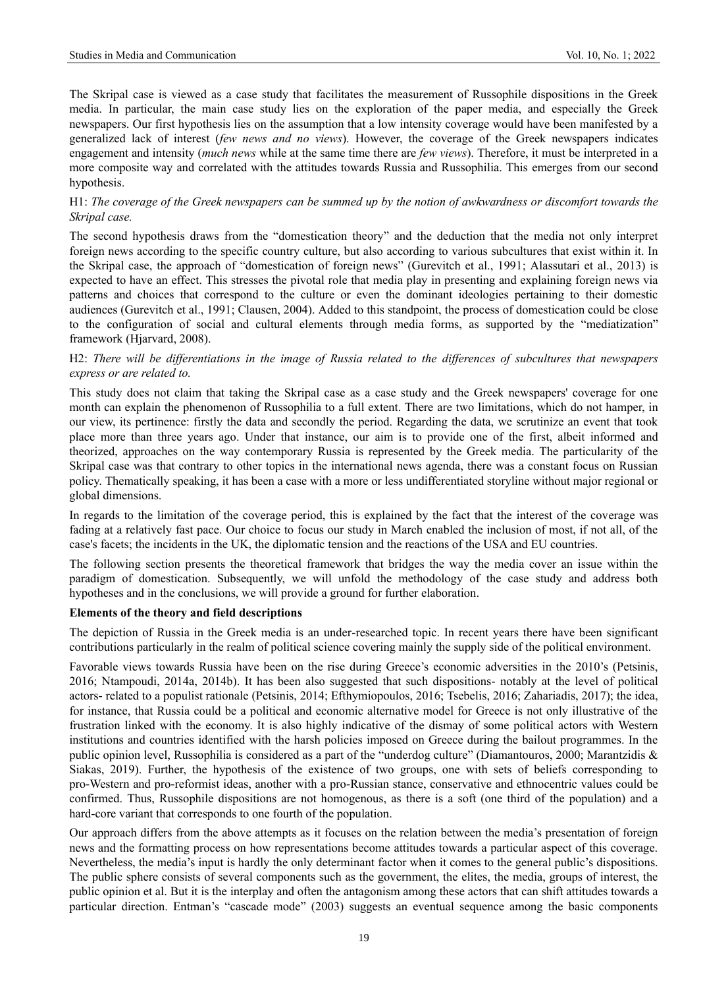The Skripal case is viewed as a case study that facilitates the measurement of Russophile dispositions in the Greek media. In particular, the main case study lies on the exploration of the paper media, and especially the Greek newspapers. Our first hypothesis lies on the assumption that a low intensity coverage would have been manifested by a generalized lack of interest (*few news and no views*). However, the coverage of the Greek newspapers indicates engagement and intensity (*much news* while at the same time there are *few views*). Therefore, it must be interpreted in a more composite way and correlated with the attitudes towards Russia and Russophilia. This emerges from our second hypothesis.

# H1: *The coverage of the Greek newspapers can be summed up by the notion of awkwardness or discomfort towards the Skripal case.*

The second hypothesis draws from the "domestication theory" and the deduction that the media not only interpret foreign news according to the specific country culture, but also according to various subcultures that exist within it. In the Skripal case, the approach of "domestication of foreign news" (Gurevitch et al., 1991; Alassutari et al., 2013) is expected to have an effect. This stresses the pivotal role that media play in presenting and explaining foreign news via patterns and choices that correspond to the culture or even the dominant ideologies pertaining to their domestic audiences (Gurevitch et al., 1991; Clausen, 2004). Added to this standpoint, the process of domestication could be close to the configuration of social and cultural elements through media forms, as supported by the "mediatization" framework (Hjarvard, 2008).

# H2: *There will be differentiations in the image of Russia related to the differences of subcultures that newspapers express or are related to.*

This study does not claim that taking the Skripal case as a case study and the Greek newspapers' coverage for one month can explain the phenomenon of Russophilia to a full extent. There are two limitations, which do not hamper, in our view, its pertinence: firstly the data and secondly the period. Regarding the data, we scrutinize an event that took place more than three years ago. Under that instance, our aim is to provide one of the first, albeit informed and theorized, approaches on the way contemporary Russia is represented by the Greek media. The particularity of the Skripal case was that contrary to other topics in the international news agenda, there was a constant focus on Russian policy. Thematically speaking, it has been a case with a more or less undifferentiated storyline without major regional or global dimensions.

In regards to the limitation of the coverage period, this is explained by the fact that the interest of the coverage was fading at a relatively fast pace. Our choice to focus our study in March enabled the inclusion of most, if not all, of the case's facets; the incidents in the UK, the diplomatic tension and the reactions of the USA and EU countries.

The following section presents the theoretical framework that bridges the way the media cover an issue within the paradigm of domestication. Subsequently, we will unfold the methodology of the case study and address both hypotheses and in the conclusions, we will provide a ground for further elaboration.

# **Elements of the theory and field descriptions**

The depiction of Russia in the Greek media is an under-researched topic. In recent years there have been significant contributions particularly in the realm of political science covering mainly the supply side of the political environment.

Favorable views towards Russia have been on the rise during Greece's economic adversities in the 2010's (Petsinis, 2016; Ntampoudi, 2014a, 2014b). It has been also suggested that such dispositions- notably at the level of political actors- related to a populist rationale (Petsinis, 2014; Efthymiopoulos, 2016; Tsebelis, 2016; Zahariadis, 2017); the idea, for instance, that Russia could be a political and economic alternative model for Greece is not only illustrative of the frustration linked with the economy. It is also highly indicative of the dismay of some political actors with Western institutions and countries identified with the harsh policies imposed on Greece during the bailout programmes. In the public opinion level, Russophilia is considered as a part of the "underdog culture" (Diamantouros, 2000; Marantzidis & Siakas, 2019). Further, the hypothesis of the existence of two groups, one with sets of beliefs corresponding to pro-Western and pro-reformist ideas, another with a pro-Russian stance, conservative and ethnocentric values could be confirmed. Thus, Russophile dispositions are not homogenous, as there is a soft (one third of the population) and a hard-core variant that corresponds to one fourth of the population.

Our approach differs from the above attempts as it focuses on the relation between the media's presentation of foreign news and the formatting process on how representations become attitudes towards a particular aspect of this coverage. Nevertheless, the media's input is hardly the only determinant factor when it comes to the general public's dispositions. The public sphere consists of several components such as the government, the elites, the media, groups of interest, the public opinion et al. But it is the interplay and often the antagonism among these actors that can shift attitudes towards a particular direction. Entman's "cascade mode" (2003) suggests an eventual sequence among the basic components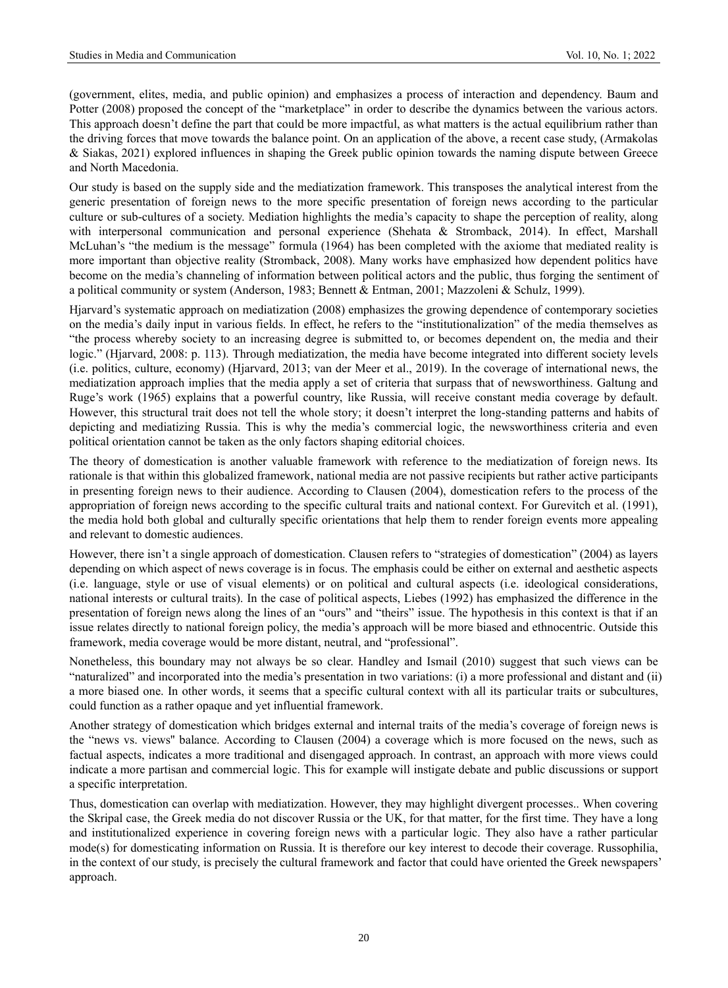(government, elites, media, and public opinion) and emphasizes a process of interaction and dependency. Baum and Potter (2008) proposed the concept of the "marketplace" in order to describe the dynamics between the various actors. This approach doesn't define the part that could be more impactful, as what matters is the actual equilibrium rather than the driving forces that move towards the balance point. On an application of the above, a recent case study, (Armakolas & Siakas, 2021) explored influences in shaping the Greek public opinion towards the naming dispute between Greece and North Macedonia.

Our study is based on the supply side and the mediatization framework. This transposes the analytical interest from the generic presentation of foreign news to the more specific presentation of foreign news according to the particular culture or sub-cultures of a society. Mediation highlights the media's capacity to shape the perception of reality, along with interpersonal communication and personal experience (Shehata & Stromback, 2014). In effect, Marshall McLuhan's "the medium is the message" formula (1964) has been completed with the axiome that mediated reality is more important than objective reality (Stromback, 2008). Many works have emphasized how dependent politics have become on the media's channeling of information between political actors and the public, thus forging the sentiment of a political community or system (Anderson, 1983; Bennett & Entman, 2001; Mazzoleni & Schulz, 1999).

Hjarvard's systematic approach on mediatization (2008) emphasizes the growing dependence of contemporary societies on the media's daily input in various fields. In effect, he refers to the "institutionalization" of the media themselves as "the process whereby society to an increasing degree is submitted to, or becomes dependent on, the media and their logic." (Hjarvard, 2008: p. 113). Through mediatization, the media have become integrated into different society levels (i.e. politics, culture, economy) (Hjarvard, 2013; van der Meer et al., 2019). In the coverage of international news, the mediatization approach implies that the media apply a set of criteria that surpass that of newsworthiness. Galtung and Ruge's work (1965) explains that a powerful country, like Russia, will receive constant media coverage by default. However, this structural trait does not tell the whole story; it doesn't interpret the long-standing patterns and habits of depicting and mediatizing Russia. This is why the media's commercial logic, the newsworthiness criteria and even political orientation cannot be taken as the only factors shaping editorial choices.

The theory of domestication is another valuable framework with reference to the mediatization of foreign news. Its rationale is that within this globalized framework, national media are not passive recipients but rather active participants in presenting foreign news to their audience. According to Clausen (2004), domestication refers to the process of the appropriation of foreign news according to the specific cultural traits and national context. For Gurevitch et al. (1991), the media hold both global and culturally specific orientations that help them to render foreign events more appealing and relevant to domestic audiences.

However, there isn't a single approach of domestication. Clausen refers to "strategies of domestication" (2004) as layers depending on which aspect of news coverage is in focus. The emphasis could be either on external and aesthetic aspects (i.e. language, style or use of visual elements) or on political and cultural aspects (i.e. ideological considerations, national interests or cultural traits). In the case of political aspects, Liebes (1992) has emphasized the difference in the presentation of foreign news along the lines of an "ours" and "theirs" issue. The hypothesis in this context is that if an issue relates directly to national foreign policy, the media's approach will be more biased and ethnocentric. Outside this framework, media coverage would be more distant, neutral, and "professional".

Nonetheless, this boundary may not always be so clear. Handley and Ismail (2010) suggest that such views can be "naturalized" and incorporated into the media's presentation in two variations: (i) a more professional and distant and (ii) a more biased one. In other words, it seems that a specific cultural context with all its particular traits or subcultures, could function as a rather opaque and yet influential framework.

Another strategy of domestication which bridges external and internal traits of the media's coverage of foreign news is the "news vs. views'' balance. According to Clausen (2004) a coverage which is more focused on the news, such as factual aspects, indicates a more traditional and disengaged approach. In contrast, an approach with more views could indicate a more partisan and commercial logic. This for example will instigate debate and public discussions or support a specific interpretation.

Thus, domestication can overlap with mediatization. However, they may highlight divergent processes.. When covering the Skripal case, the Greek media do not discover Russia or the UK, for that matter, for the first time. They have a long and institutionalized experience in covering foreign news with a particular logic. They also have a rather particular mode(s) for domesticating information on Russia. It is therefore our key interest to decode their coverage. Russophilia, in the context of our study, is precisely the cultural framework and factor that could have oriented the Greek newspapers' approach.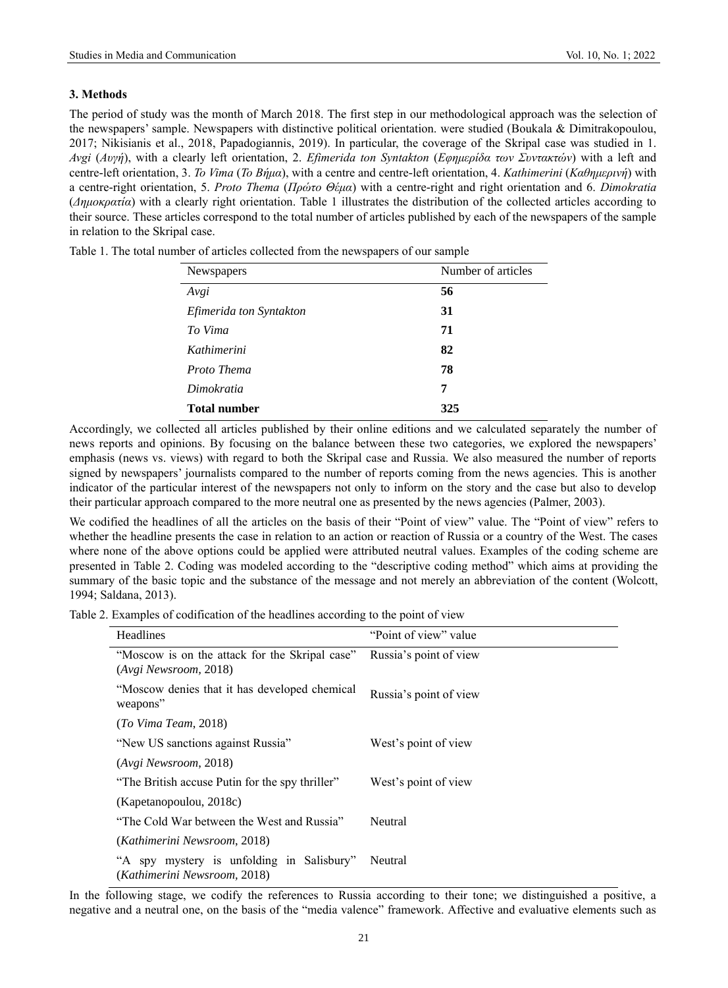## **3. Methods**

The period of study was the month of March 2018. The first step in our methodological approach was the selection of the newspapers' sample. Newspapers with distinctive political orientation. were studied (Boukala & Dimitrakopoulou, 2017; Nikisianis et al., 2018, Papadogiannis, 2019). In particular, the coverage of the Skripal case was studied in 1. *Avgi* (*Αυγή*), with a clearly left orientation, 2. *Efimerida ton Syntakton* (*Εφημερίδα των Συντακτών*) with a left and centre-left orientation, 3. *To Vima* (*Το Βήμα*), with a centre and centre-left orientation, 4. *Kathimerini* (*Καθημερινή*) with a centre-right orientation, 5. *Proto Thema* (*Πρώτο Θέμα*) with a centre-right and right orientation and 6. *Dimokratia* (*Δημοκρατία*) with a clearly right orientation. Table 1 illustrates the distribution of the collected articles according to their source. These articles correspond to the total number of articles published by each of the newspapers of the sample in relation to the Skripal case.

| Number of articles |  |
|--------------------|--|
| 56                 |  |
| 31                 |  |
| 71                 |  |
| 82                 |  |
| 78                 |  |
| 7                  |  |
| 325                |  |
|                    |  |

Table 1. The total number of articles collected from the newspapers of our sample

Accordingly, we collected all articles published by their online editions and we calculated separately the number of news reports and opinions. By focusing on the balance between these two categories, we explored the newspapers' emphasis (news vs. views) with regard to both the Skripal case and Russia. We also measured the number of reports signed by newspapers' journalists compared to the number of reports coming from the news agencies. This is another indicator of the particular interest of the newspapers not only to inform on the story and the case but also to develop their particular approach compared to the more neutral one as presented by the news agencies (Palmer, 2003).

We codified the headlines of all the articles on the basis of their "Point of view" value. The "Point of view" refers to whether the headline presents the case in relation to an action or reaction of Russia or a country of the West. The cases where none of the above options could be applied were attributed neutral values. Examples of the coding scheme are presented in Table 2. Coding was modeled according to the "descriptive coding method" which aims at providing the summary of the basic topic and the substance of the message and not merely an abbreviation of the content (Wolcott, 1994; Saldana, 2013).

Table 2. Examples of codification of the headlines according to the point of view

| Headlines                                                                 | "Point of view" value  |
|---------------------------------------------------------------------------|------------------------|
| "Moscow is on the attack for the Skripal case"                            | Russia's point of view |
| (Avgi Newsroom, 2018)                                                     |                        |
| "Moscow denies that it has developed chemical"<br>weapons"                | Russia's point of view |
| (To Vima Team, 2018)                                                      |                        |
| "New US sanctions against Russia"                                         | West's point of view   |
| (Avgi Newsroom, 2018)                                                     |                        |
| "The British accuse Putin for the spy thriller"                           | West's point of view   |
| (Kapetanopoulou, 2018c)                                                   |                        |
| "The Cold War between the West and Russia"                                | Neutral                |
| (Kathimerini Newsroom, 2018)                                              |                        |
| "A spy mystery is unfolding in Salisbury"<br>(Kathimerini Newsroom, 2018) | Neutral                |

In the following stage, we codify the references to Russia according to their tone; we distinguished a positive, a negative and a neutral one, on the basis of the "media valence" framework. Affective and evaluative elements such as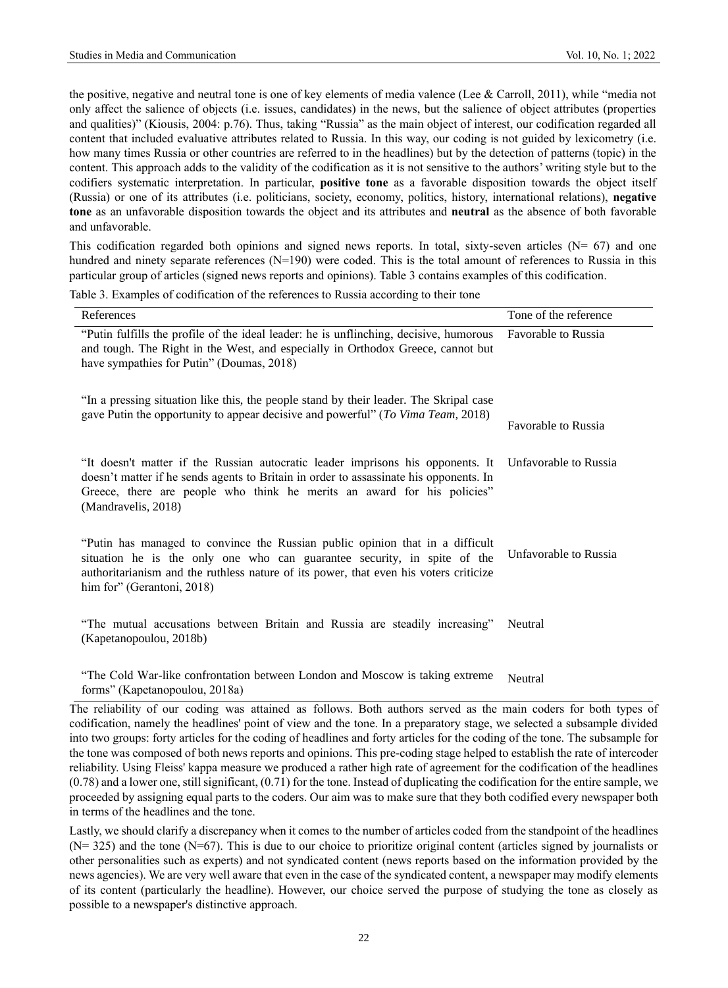the positive, negative and neutral tone is one of key elements of media valence (Lee & Carroll, 2011), while "media not only affect the salience of objects (i.e. issues, candidates) in the news, but the salience of object attributes (properties and qualities)" (Kiousis, 2004: p.76). Thus, taking "Russia" as the main object of interest, our codification regarded all content that included evaluative attributes related to Russia. In this way, our coding is not guided by lexicometry (i.e. how many times Russia or other countries are referred to in the headlines) but by the detection of patterns (topic) in the content. This approach adds to the validity of the codification as it is not sensitive to the authors' writing style but to the codifiers systematic interpretation. In particular, **positive tone** as a favorable disposition towards the object itself (Russia) or one of its attributes (i.e. politicians, society, economy, politics, history, international relations), **negative tone** as an unfavorable disposition towards the object and its attributes and **neutral** as the absence of both favorable and unfavorable.

This codification regarded both opinions and signed news reports. In total, sixty-seven articles ( $N = 67$ ) and one hundred and ninety separate references (N=190) were coded. This is the total amount of references to Russia in this particular group of articles (signed news reports and opinions). Table 3 contains examples of this codification.

References Tone of the reference Tone of the reference "Putin fulfills the profile of the ideal leader: he is unflinching, decisive, humorous and tough. The Right in the West, and especially in Orthodox Greece, cannot but have sympathies for Putin" (Doumas, 2018) "In a pressing situation like this, the people stand by their leader. The Skripal case gave Putin the opportunity to appear decisive and powerful" (*To Vima Team,* 2018) Favorable to Russia Favorable to Russia "It doesn't matter if the Russian autocratic leader imprisons his opponents. It doesn't matter if he sends agents to Britain in order to assassinate his opponents. In Greece, there are people who think he merits an award for his policies" (Mandravelis, 2018) "Putin has managed to convince the Russian public opinion that in a difficult situation he is the only one who can guarantee security, in spite of the authoritarianism and the ruthless nature of its power, that even his voters criticize him for" (Gerantoni, 2018) Unfavorable to Russia Unfavorable to Russia "The mutual accusations between Britain and Russia are steadily increasing" (Kapetanopoulou, 2018b) Neutral

Table 3. Examples of codification of the references to Russia according to their tone

"The Cold War-like confrontation between London and Moscow is taking extreme forms" (Kapetanopoulou, 2018a) Neutral

The reliability of our coding was attained as follows. Both authors served as the main coders for both types of codification, namely the headlines' point of view and the tone. In a preparatory stage, we selected a subsample divided into two groups: forty articles for the coding of headlines and forty articles for the coding of the tone. The subsample for the tone was composed of both news reports and opinions. This pre-coding stage helped to establish the rate of intercoder reliability. Using Fleiss' kappa measure we produced a rather high rate of agreement for the codification of the headlines (0.78) and a lower one, still significant, (0.71) for the tone. Instead of duplicating the codification for the entire sample, we proceeded by assigning equal parts to the coders. Our aim was to make sure that they both codified every newspaper both in terms of the headlines and the tone.

Lastly, we should clarify a discrepancy when it comes to the number of articles coded from the standpoint of the headlines  $(N= 325)$  and the tone  $(N=67)$ . This is due to our choice to prioritize original content (articles signed by journalists or other personalities such as experts) and not syndicated content (news reports based on the information provided by the news agencies). We are very well aware that even in the case of the syndicated content, a newspaper may modify elements of its content (particularly the headline). However, our choice served the purpose of studying the tone as closely as possible to a newspaper's distinctive approach.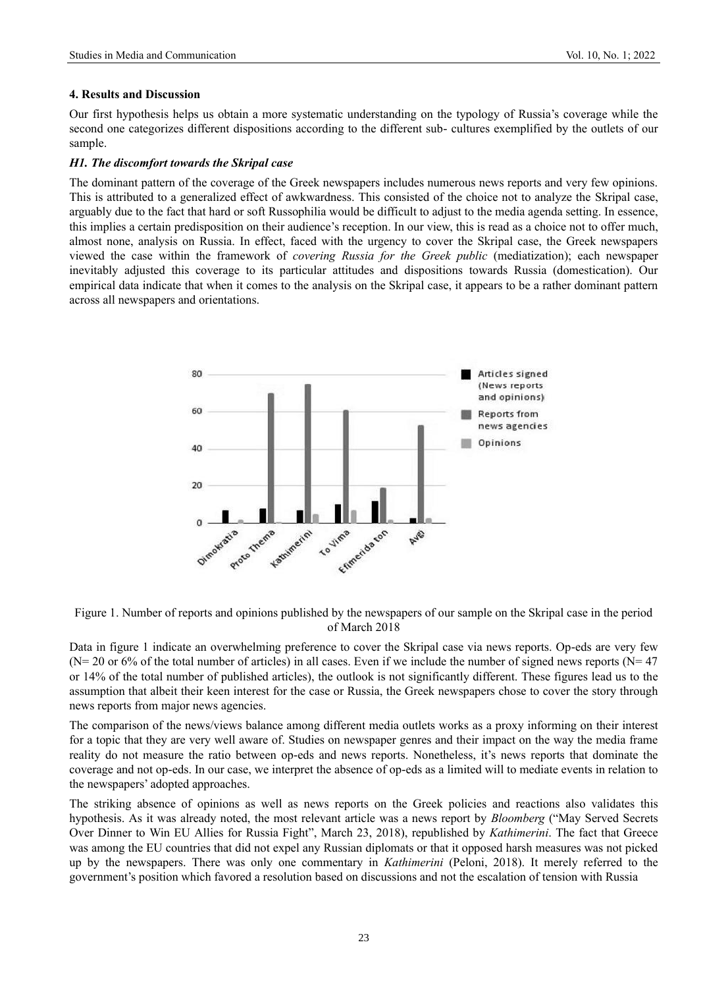## **4. Results and Discussion**

Our first hypothesis helps us obtain a more systematic understanding on the typology of Russia's coverage while the second one categorizes different dispositions according to the different sub- cultures exemplified by the outlets of our sample.

# *H1. The discomfort towards the Skripal case*

The dominant pattern of the coverage of the Greek newspapers includes numerous news reports and very few opinions. This is attributed to a generalized effect of awkwardness. This consisted of the choice not to analyze the Skripal case, arguably due to the fact that hard or soft Russophilia would be difficult to adjust to the media agenda setting. In essence, this implies a certain predisposition on their audience's reception. In our view, this is read as a choice not to offer much, almost none, analysis on Russia. In effect, faced with the urgency to cover the Skripal case, the Greek newspapers viewed the case within the framework of *covering Russia for the Greek public* (mediatization); each newspaper inevitably adjusted this coverage to its particular attitudes and dispositions towards Russia (domestication). Our empirical data indicate that when it comes to the analysis on the Skripal case, it appears to be a rather dominant pattern across all newspapers and orientations.



Figure 1. Number of reports and opinions published by the newspapers of our sample on the Skripal case in the period of March 2018

Data in figure 1 indicate an overwhelming preference to cover the Skripal case via news reports. Op-eds are very few  $(N= 20 \text{ or } 6\% \text{ of the total number of articles})$  in all cases. Even if we include the number of signed news reports  $(N= 47)$ or 14% of the total number of published articles), the outlook is not significantly different. These figures lead us to the assumption that albeit their keen interest for the case or Russia, the Greek newspapers chose to cover the story through news reports from major news agencies.

The comparison of the news/views balance among different media outlets works as a proxy informing on their interest for a topic that they are very well aware of. Studies on newspaper genres and their impact on the way the media frame reality do not measure the ratio between op-eds and news reports. Nonetheless, it's news reports that dominate the coverage and not op-eds. In our case, we interpret the absence of op-eds as a limited will to mediate events in relation to the newspapers' adopted approaches.

The striking absence of opinions as well as news reports on the Greek policies and reactions also validates this hypothesis. As it was already noted, the most relevant article was a news report by *Bloomberg* ("May Served Secrets Over Dinner to Win EU Allies for Russia Fight", March 23, 2018), republished by *Kathimerini*. The fact that Greece was among the EU countries that did not expel any Russian diplomats or that it opposed harsh measures was not picked up by the newspapers. There was only one commentary in *Kathimerini* (Peloni, 2018). It merely referred to the government's position which favored a resolution based on discussions and not the escalation of tension with Russia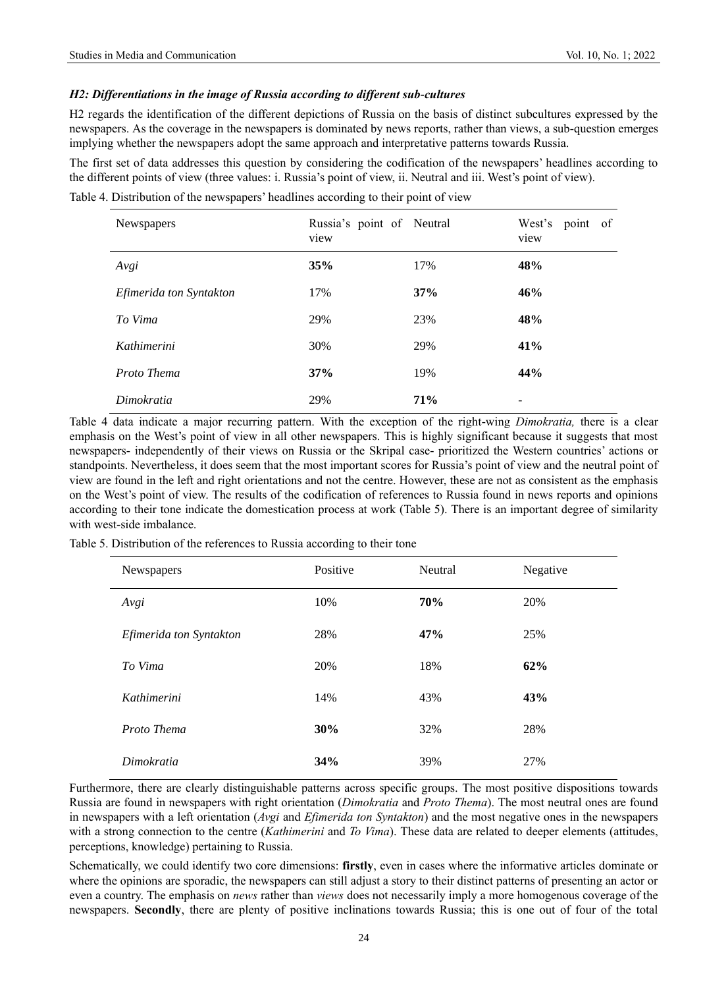## *H2: Differentiations in the image of Russia according to different sub-cultures*

H2 regards the identification of the different depictions of Russia on the basis of distinct subcultures expressed by the newspapers. As the coverage in the newspapers is dominated by news reports, rather than views, a sub-question emerges implying whether the newspapers adopt the same approach and interpretative patterns towards Russia.

The first set of data addresses this question by considering the codification of the newspapers' headlines according to the different points of view (three values: i. Russia's point of view, ii. Neutral and iii. West's point of view).

Table 4. Distribution of the newspapers' headlines according to their point of view

| <b>Newspapers</b>       | Russia's point of Neutral<br>view |            | West's<br>point of<br>view |
|-------------------------|-----------------------------------|------------|----------------------------|
| Avgi                    | 35%                               | 17%        | 48%                        |
| Efimerida ton Syntakton | 17%                               | 37%        | 46%                        |
| To Vima                 | 29%                               | 23%        | 48%                        |
| Kathimerini             | 30%                               | 29%        | 41%                        |
| Proto Thema             | 37%                               | 19%        | 44%                        |
| Dimokratia              | 29%                               | <b>71%</b> | -                          |

Table 4 data indicate a major recurring pattern. With the exception of the right-wing *Dimokratia,* there is a clear emphasis on the West's point of view in all other newspapers. This is highly significant because it suggests that most newspapers- independently of their views on Russia or the Skripal case- prioritized the Western countries' actions or standpoints. Nevertheless, it does seem that the most important scores for Russia's point of view and the neutral point of view are found in the left and right orientations and not the centre. However, these are not as consistent as the emphasis on the West's point of view. The results of the codification of references to Russia found in news reports and opinions according to their tone indicate the domestication process at work (Table 5). There is an important degree of similarity with west-side imbalance.

Table 5. Distribution of the references to Russia according to their tone

| Newspapers              | Positive | Neutral | Negative |
|-------------------------|----------|---------|----------|
| Avgi                    | 10%      | 70%     | 20%      |
| Efimerida ton Syntakton | 28%      | 47%     | 25%      |
| To Vima                 | 20%      | 18%     | 62%      |
| Kathimerini             | 14%      | 43%     | 43%      |
| Proto Thema             | 30%      | 32%     | 28%      |
| Dimokratia              | 34%      | 39%     | 27%      |

Furthermore, there are clearly distinguishable patterns across specific groups. The most positive dispositions towards Russia are found in newspapers with right orientation (*Dimokratia* and *Proto Thema*). The most neutral ones are found in newspapers with a left orientation (*Avgi* and *Efimerida ton Syntakton*) and the most negative ones in the newspapers with a strong connection to the centre (*Kathimerini* and *To Vima*). These data are related to deeper elements (attitudes, perceptions, knowledge) pertaining to Russia.

Schematically, we could identify two core dimensions: **firstly**, even in cases where the informative articles dominate or where the opinions are sporadic, the newspapers can still adjust a story to their distinct patterns of presenting an actor or even a country. The emphasis on *news* rather than *views* does not necessarily imply a more homogenous coverage of the newspapers. **Secondly**, there are plenty of positive inclinations towards Russia; this is one out of four of the total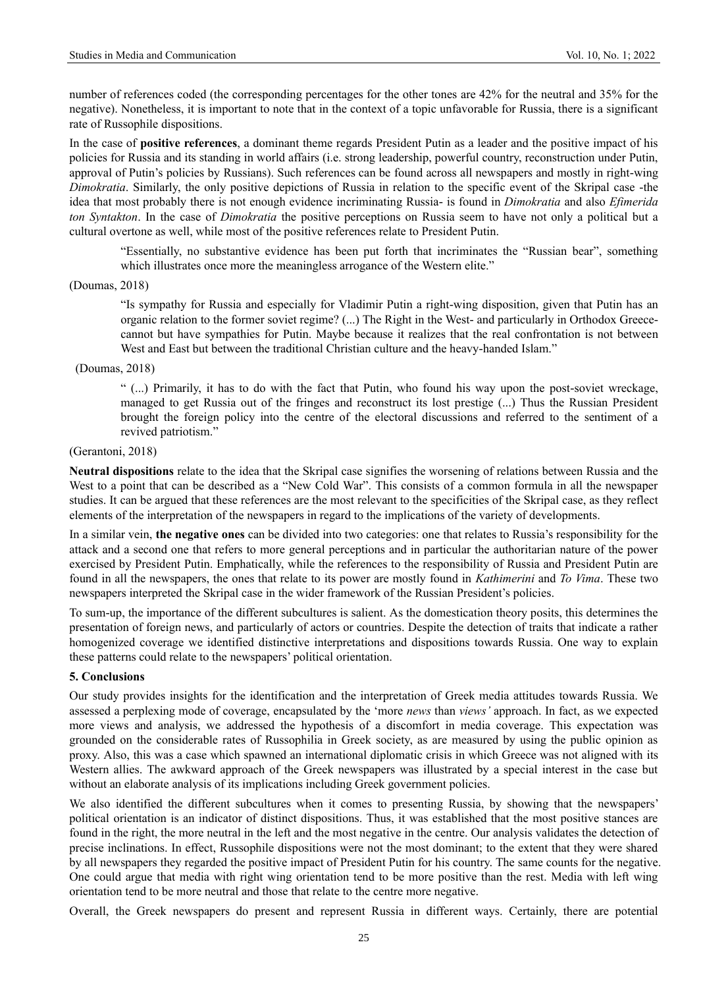number of references coded (the corresponding percentages for the other tones are 42% for the neutral and 35% for the negative). Nonetheless, it is important to note that in the context of a topic unfavorable for Russia, there is a significant rate of Russophile dispositions.

In the case of **positive references**, a dominant theme regards President Putin as a leader and the positive impact of his policies for Russia and its standing in world affairs (i.e. strong leadership, powerful country, reconstruction under Putin, approval of Putin's policies by Russians). Such references can be found across all newspapers and mostly in right-wing *Dimokratia*. Similarly, the only positive depictions of Russia in relation to the specific event of the Skripal case -the idea that most probably there is not enough evidence incriminating Russia- is found in *Dimokratia* and also *Efimerida ton Syntakton*. In the case of *Dimokratia* the positive perceptions on Russia seem to have not only a political but a cultural overtone as well, while most of the positive references relate to President Putin.

"Essentially, no substantive evidence has been put forth that incriminates the "Russian bear", something which illustrates once more the meaningless arrogance of the Western elite."

#### (Doumas, 2018)

"Is sympathy for Russia and especially for Vladimir Putin a right-wing disposition, given that Putin has an organic relation to the former soviet regime? (...) The Right in the West- and particularly in Orthodox Greececannot but have sympathies for Putin. Maybe because it realizes that the real confrontation is not between West and East but between the traditional Christian culture and the heavy-handed Islam."

#### (Doumas, 2018)

" (...) Primarily, it has to do with the fact that Putin, who found his way upon the post-soviet wreckage, managed to get Russia out of the fringes and reconstruct its lost prestige (...) Thus the Russian President brought the foreign policy into the centre of the electoral discussions and referred to the sentiment of a revived patriotism."

#### (Gerantoni, 2018)

**Neutral dispositions** relate to the idea that the Skripal case signifies the worsening of relations between Russia and the West to a point that can be described as a "New Cold War". This consists of a common formula in all the newspaper studies. It can be argued that these references are the most relevant to the specificities of the Skripal case, as they reflect elements of the interpretation of the newspapers in regard to the implications of the variety of developments.

In a similar vein, **the negative ones** can be divided into two categories: one that relates to Russia's responsibility for the attack and a second one that refers to more general perceptions and in particular the authoritarian nature of the power exercised by President Putin. Emphatically, while the references to the responsibility of Russia and President Putin are found in all the newspapers, the ones that relate to its power are mostly found in *Kathimerini* and *To Vima*. These two newspapers interpreted the Skripal case in the wider framework of the Russian President's policies.

To sum-up, the importance of the different subcultures is salient. As the domestication theory posits, this determines the presentation of foreign news, and particularly of actors or countries. Despite the detection of traits that indicate a rather homogenized coverage we identified distinctive interpretations and dispositions towards Russia. One way to explain these patterns could relate to the newspapers' political orientation.

#### **5. Conclusions**

Our study provides insights for the identification and the interpretation of Greek media attitudes towards Russia. We assessed a perplexing mode of coverage, encapsulated by the 'more *news* than *views'* approach. In fact, as we expected more views and analysis, we addressed the hypothesis of a discomfort in media coverage. This expectation was grounded on the considerable rates of Russophilia in Greek society, as are measured by using the public opinion as proxy. Also, this was a case which spawned an international diplomatic crisis in which Greece was not aligned with its Western allies. The awkward approach of the Greek newspapers was illustrated by a special interest in the case but without an elaborate analysis of its implications including Greek government policies.

We also identified the different subcultures when it comes to presenting Russia, by showing that the newspapers' political orientation is an indicator of distinct dispositions. Thus, it was established that the most positive stances are found in the right, the more neutral in the left and the most negative in the centre. Our analysis validates the detection of precise inclinations. In effect, Russophile dispositions were not the most dominant; to the extent that they were shared by all newspapers they regarded the positive impact of President Putin for his country. The same counts for the negative. One could argue that media with right wing orientation tend to be more positive than the rest. Media with left wing orientation tend to be more neutral and those that relate to the centre more negative.

Overall, the Greek newspapers do present and represent Russia in different ways. Certainly, there are potential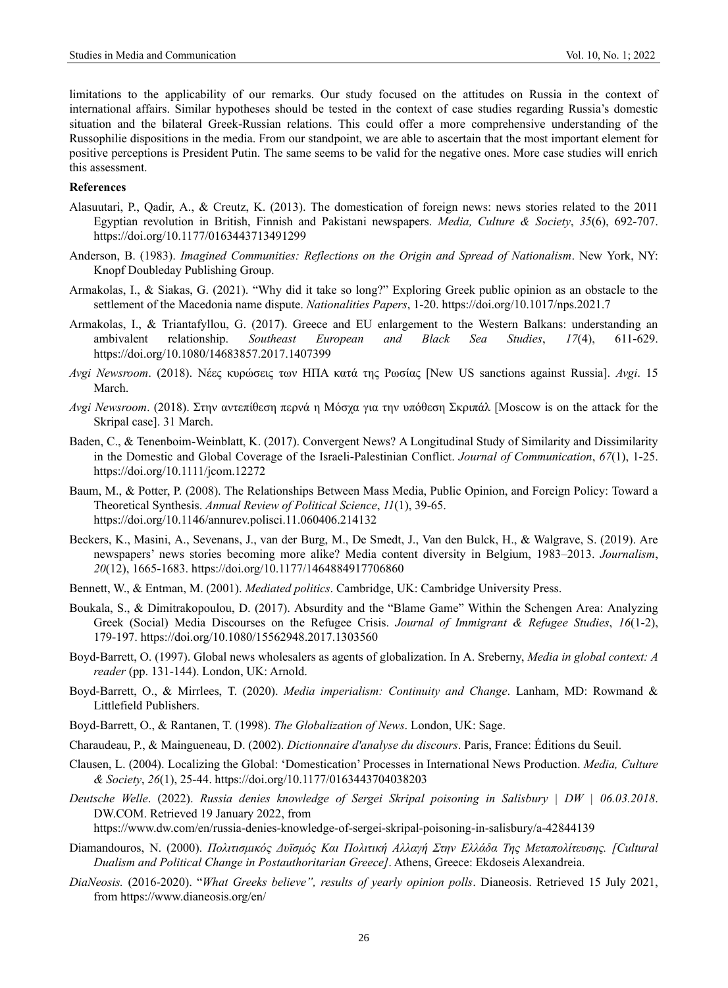limitations to the applicability of our remarks. Our study focused on the attitudes on Russia in the context of international affairs. Similar hypotheses should be tested in the context of case studies regarding Russia's domestic situation and the bilateral Greek-Russian relations. This could offer a more comprehensive understanding of the Russophilie dispositions in the media. From our standpoint, we are able to ascertain that the most important element for positive perceptions is President Putin. The same seems to be valid for the negative ones. More case studies will enrich this assessment.

#### **References**

- Alasuutari, P., Qadir, A., & Creutz, K. (2013). The domestication of foreign news: news stories related to the 2011 Egyptian revolution in British, Finnish and Pakistani newspapers. *Media, Culture & Society*, *35*(6), 692-707. https://doi.org/10.1177/0163443713491299
- Anderson, B. (1983). *Imagined Communities: Reflections on the Origin and Spread of Nationalism*. New York, NY: Knopf Doubleday Publishing Group.
- Armakolas, I., & Siakas, G. (2021). "Why did it take so long?" Exploring Greek public opinion as an obstacle to the settlement of the Macedonia name dispute. *Nationalities Papers*, 1-20. https://doi.org/10.1017/nps.2021.7
- Armakolas, I., & Triantafyllou, G. (2017). Greece and EU enlargement to the Western Balkans: understanding an ambivalent relationship. *Southeast European and Black Sea Studies*, *17*(4), 611-629. https://doi.org/10.1080/14683857.2017.1407399
- *Avgi Newsroom*. (2018). Νέες κυρώσεις των ΗΠΑ κατά της Ρωσίας [New US sanctions against Russia]. *Avgi*. 15 March.
- *Avgi Newsroom*. (2018). Στην αντεπίθεση περνά η Μόσχα για την υπόθεση Σκριπάλ [Moscow is on the attack for the Skripal case]. 31 March.
- Baden, C., & Tenenboim-Weinblatt, K. (2017). Convergent News? A Longitudinal Study of Similarity and Dissimilarity in the Domestic and Global Coverage of the Israeli-Palestinian Conflict. *Journal of Communication*, *67*(1), 1-25. https://doi.org/10.1111/jcom.12272
- Baum, M., & Potter, P. (2008). The Relationships Between Mass Media, Public Opinion, and Foreign Policy: Toward a Theoretical Synthesis. *Annual Review of Political Science*, *11*(1), 39-65. https://doi.org/10.1146/annurev.polisci.11.060406.214132
- Beckers, K., Masini, A., Sevenans, J., van der Burg, M., De Smedt, J., Van den Bulck, H., & Walgrave, S. (2019). Are newspapers' news stories becoming more alike? Media content diversity in Belgium, 1983–2013. *Journalism*, *20*(12), 1665-1683. https://doi.org/10.1177/1464884917706860
- Bennett, W., & Entman, M. (2001). *Mediated politics*. Cambridge, UK: Cambridge University Press.
- Boukala, S., & Dimitrakopoulou, D. (2017). Absurdity and the "Blame Game" Within the Schengen Area: Analyzing Greek (Social) Media Discourses on the Refugee Crisis. *Journal of Immigrant & Refugee Studies*, *16*(1-2), 179-197. https://doi.org/10.1080/15562948.2017.1303560
- Boyd-Barrett, O. (1997). Global news wholesalers as agents of globalization. In A. Sreberny, *Media in global context: A reader* (pp. 131-144). London, UK: Arnold.
- Boyd-Barrett, O., & Mirrlees, T. (2020). *Media imperialism: Continuity and Change*. Lanham, MD: Rowmand & Littlefield Publishers.
- Boyd-Barrett, O., & Rantanen, T. (1998). *The Globalization of News*. London, UK: Sage.
- Charaudeau, P., & Maingueneau, D. (2002). *Dictionnaire d'analyse du discours*. Paris, France: Éditions du Seuil.
- Clausen, L. (2004). Localizing the Global: 'Domestication' Processes in International News Production. *Media, Culture & Society*, *26*(1), 25-44. https://doi.org/10.1177/0163443704038203
- *Deutsche Welle*. (2022). *Russia denies knowledge of Sergei Skripal poisoning in Salisbury | DW | 06.03.2018*. DW.COM. Retrieved 19 January 2022, from

https://www.dw.com/en/russia-denies-knowledge-of-sergei-skripal-poisoning-in-salisbury/a-42844139

- Diamandouros, N. (2000). *Πολιτισμικός Δυϊσμός Και Πολιτική Αλλαγή Στην Ελλάδα Της Μεταπολίτευσης. [Cultural Dualism and Political Change in Postauthoritarian Greece]*. Athens, Greece: Ekdoseis Alexandreia.
- *DiaNeosis.* (2016-2020). "*What Greeks believe", results of yearly opinion polls*. Dianeosis. Retrieved 15 July 2021, from https://www.dianeosis.org/en/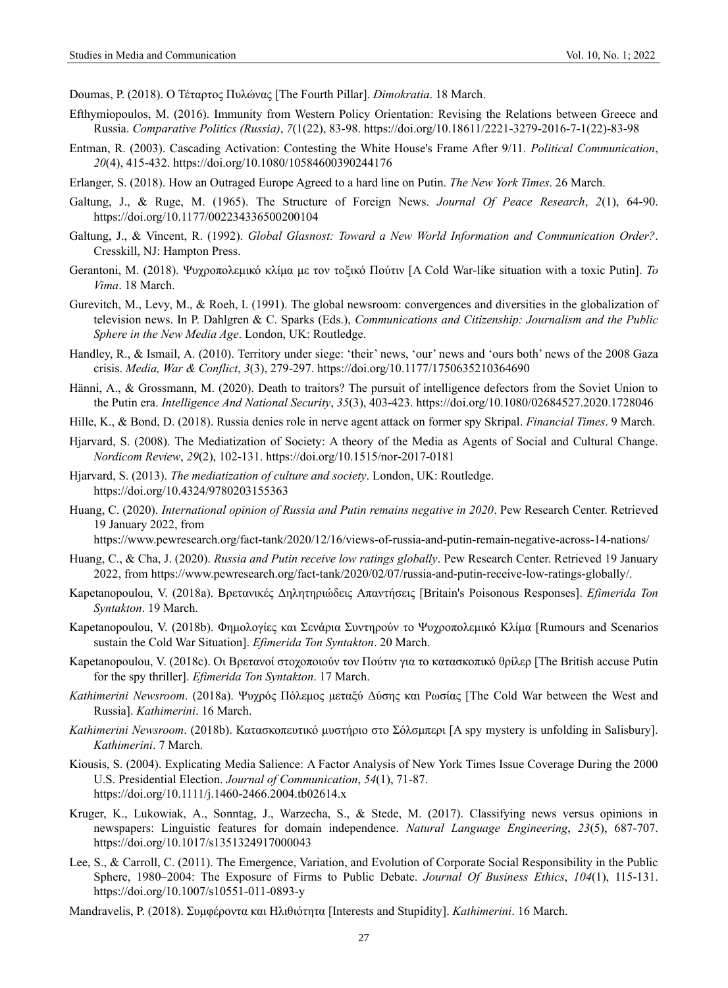Doumas, P. (2018). Ο Τέταρτος Πυλώνας [The Fourth Pillar]. *Dimokratia*. 18 March.

- Efthymiopoulos, M. (2016). Immunity from Western Policy Orientation: Revising the Relations between Greece and Russia. *Comparative Politics (Russia)*, *7*(1(22), 83-98. https://doi.org/10.18611/2221-3279-2016-7-1(22)-83-98
- Entman, R. (2003). Cascading Activation: Contesting the White House's Frame After 9/11. *Political Communication*, *20*(4), 415-432. https://doi.org/10.1080/10584600390244176
- Erlanger, S. (2018). How an Outraged Europe Agreed to a hard line on Putin. *The New York Times*. 26 March.
- Galtung, J., & Ruge, M. (1965). The Structure of Foreign News. *Journal Of Peace Research*, *2*(1), 64-90. <https://doi.org/10.1177/002234336500200104>
- Galtung, J., & Vincent, R. (1992). *Global Glasnost: Toward a New World Information and Communication Order?*. Cresskill, NJ: Hampton Press.
- Gerantoni, M. (2018). Ψυχροπολεμικό κλίμα με τον τοξικό Πούτιν [A Cold War-like situation with a toxic Putin]. *To Vima*. 18 March.
- Gurevitch, M., Levy, M., & Roeh, I. (1991). The global newsroom: convergences and diversities in the globalization of television news. In P. Dahlgren & C. Sparks (Eds.), *Communications and Citizenship: Journalism and the Public Sphere in the New Media Age*. London, UK: Routledge.
- Handley, R., & Ismail, A. (2010). Territory under siege: 'their' news, 'our' news and 'ours both' news of the 2008 Gaza crisis. *Media, War & Conflict*, *3*(3), 279-297. https://doi.org/10.1177/1750635210364690
- Hänni, A., & Grossmann, M. (2020). Death to traitors? The pursuit of intelligence defectors from the Soviet Union to the Putin era. *Intelligence And National Security*, *35*(3), 403-423. https://doi.org/10.1080/02684527.2020.1728046
- Hille, K., & Bond, D. (2018). Russia denies role in nerve agent attack on former spy Skripal. *Financial Times*. 9 March.
- Hjarvard, S. (2008). The Mediatization of Society: A theory of the Media as Agents of Social and Cultural Change. *Nordicom Review*, *29*(2), 102-131. https://doi.org/10.1515/nor-2017-0181
- Hjarvard, S. (2013). *The mediatization of culture and society*. London, UK: Routledge. https://doi.org/10.4324/9780203155363
- Huang, C. (2020). *International opinion of Russia and Putin remains negative in 2020*. Pew Research Center. Retrieved 19 January 2022, from

https://www.pewresearch.org/fact-tank/2020/12/16/views-of-russia-and-putin-remain-negative-across-14-nations/

- Huang, C., & Cha, J. (2020). *Russia and Putin receive low ratings globally*. Pew Research Center. Retrieved 19 January 2022, from https://www.pewresearch.org/fact-tank/2020/02/07/russia-and-putin-receive-low-ratings-globally/.
- Kapetanopoulou, V. (2018a). Βρετανικές Δηλητηριώδεις Απαντήσεις [Britain's Poisonous Responses]. *Efimerida Ton Syntakton*. 19 March.
- Kapetanopoulou, V. (2018b). Φημολογίες και Σενάρια Συντηρούν το Ψυχροπολεμικό Κλίμα [Rumours and Scenarios sustain the Cold War Situation]. *Efimerida Ton Syntakton*. 20 March.
- Kapetanopoulou, V. (2018c). Οι Βρετανοί στοχοποιούν τον Πούτιν για το κατασκοπικό θρίλερ [The British accuse Putin for the spy thriller]. *Efimerida Ton Syntakton*. 17 March.
- *Kathimerini Newsroom*. (2018a). Ψυχρός Πόλεμος μεταξύ Δύσης και Ρωσίας [The Cold War between the West and Russia]. *Kathimerini*. 16 March.
- *Kathimerini Newsroom*. (2018b). Κατασκοπευτικό μυστήριο στο Σόλσμπερι [A spy mystery is unfolding in Salisbury]. *Kathimerini*. 7 March.
- Kiousis, S. (2004). Explicating Media Salience: A Factor Analysis of New York Times Issue Coverage During the 2000 U.S. Presidential Election. *Journal of Communication*, *54*(1), 71-87. https://doi.org/10.1111/j.1460-2466.2004.tb02614.x
- Kruger, K., Lukowiak, A., Sonntag, J., Warzecha, S., & Stede, M. (2017). Classifying news versus opinions in newspapers: Linguistic features for domain independence. *Natural Language Engineering*, *23*(5), 687-707. https://doi.org/10.1017/s1351324917000043
- Lee, S., & Carroll, C. (2011). The Emergence, Variation, and Evolution of Corporate Social Responsibility in the Public Sphere, 1980–2004: The Exposure of Firms to Public Debate. *Journal Of Business Ethics*, *104*(1), 115-131. https://doi.org/10.1007/s10551-011-0893-y
- Mandravelis, P. (2018). Συμφέροντα και Ηλιθιότητα [Interests and Stupidity]. *Kathimerini*. 16 March.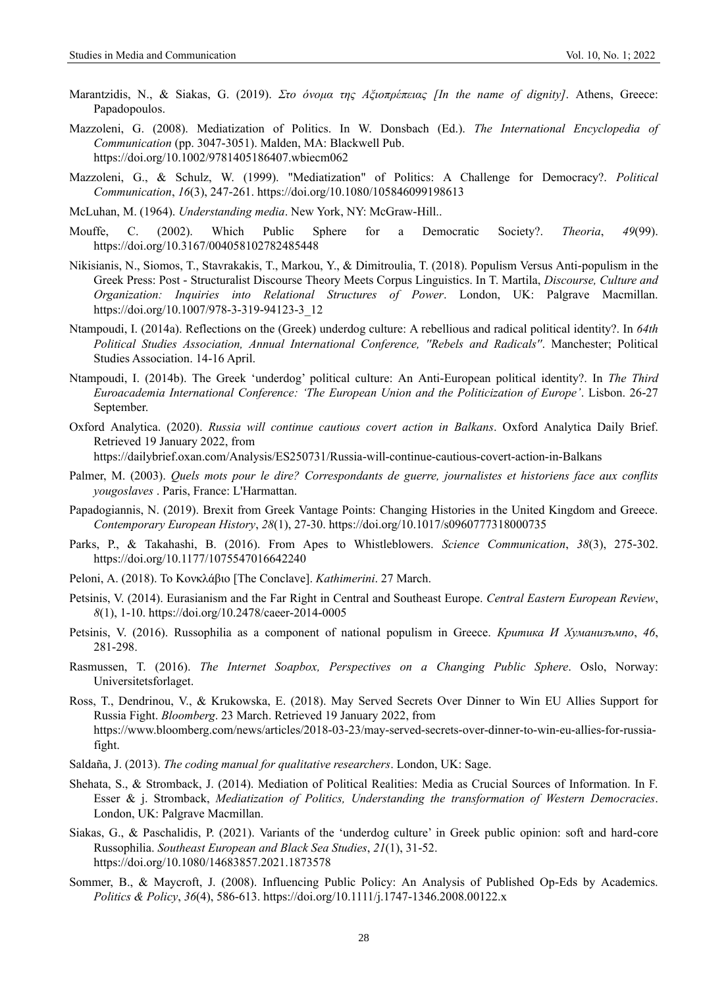- Marantzidis, N., & Siakas, G. (2019). *Στο όνομα της Αξιοπρέπειας [In the name of dignity]*. Athens, Greece: Papadopoulos.
- Mazzoleni, G. (2008). Mediatization of Politics. In W. Donsbach (Ed.). *The International Encyclopedia of Communication* (pp. 3047-3051). Malden, MA: Blackwell Pub. https://doi.org/10.1002/9781405186407.wbiecm062
- Mazzoleni, G., & Schulz, W. (1999). "Mediatization" of Politics: A Challenge for Democracy?. *Political Communication*, *16*(3), 247-261. https://doi.org/10.1080/105846099198613
- McLuhan, M. (1964). *Understanding media*. New York, NY: McGraw-Hill..
- Mouffe, C. (2002). Which Public Sphere for a Democratic Society?. *Theoria*, *49*(99). https://doi.org/10.3167/004058102782485448
- Nikisianis, N., Siomos, T., Stavrakakis, T., Markou, Y., & Dimitroulia, T. (2018). Populism Versus Anti-populism in the Greek Press: Post - Structuralist Discourse Theory Meets Corpus Linguistics. In T. Martila, *Discourse, Culture and Organization: Inquiries into Relational Structures of Power*. London, UK: Palgrave Macmillan. [https://doi.org/10.1007/978-3-319-94123-3\\_12](https://doi.org/10.1007/978-3-319-94123-3_12)
- Ntampoudi, I. (2014a). Reflections on the (Greek) underdog culture: A rebellious and radical political identity?. In *64th Political Studies Association, Annual International Conference, ''Rebels and Radicals''*. Manchester; Political Studies Association. 14-16 April.
- Ntampoudi, I. (2014b). The Greek 'underdog' political culture: An Anti-European political identity?. In *The Third Euroacademia International Conference: 'The European Union and the Politicization of Europe'*. Lisbon. 26-27 September.
- Oxford Analytica. (2020). *Russia will continue cautious covert action in Balkans*. Oxford Analytica Daily Brief. Retrieved 19 January 2022, from https://dailybrief.oxan.com/Analysis/ES250731/Russia-will-continue-cautious-covert-action-in-Balkans

- Palmer, M. (2003). *Quels mots pour le dire? Correspondants de guerre, journalistes et historiens face aux conflits yougoslaves* . Paris, France: L'Harmattan.
- Papadogiannis, N. (2019). Brexit from Greek Vantage Points: Changing Histories in the United Kingdom and Greece. *Contemporary European History*, *28*(1), 27-30. https://doi.org/10.1017/s0960777318000735
- Parks, P., & Takahashi, B. (2016). From Apes to Whistleblowers. *Science Communication*, *38*(3), 275-302. https://doi.org/10.1177/1075547016642240
- Peloni, Α. (2018). Το Κονκλάβιο [The Conclave]. *Kathimerini*. 27 March.
- Petsinis, V. (2014). Eurasianism and the Far Right in Central and Southeast Europe. *Central Eastern European Review*, *8*(1), 1-10. https://doi.org/10.2478/caeer-2014-0005
- Petsinis, V. (2016). Russophilia as a component of national populism in Greece. *Критика И Хуманизъмno*, *46*, 281-298.
- Rasmussen, T. (2016). *The Internet Soapbox, Perspectives on a Changing Public Sphere*. Oslo, Norway: Universitetsforlaget.
- Ross, T., Dendrinou, V., & Krukowska, E. (2018). May Served Secrets Over Dinner to Win EU Allies Support for Russia Fight. *Bloomberg*. 23 March. Retrieved 19 January 2022, from https://www.bloomberg.com/news/articles/2018-03-23/may-served-secrets-over-dinner-to-win-eu-allies-for-russiafight.
- Saldaña, J. (2013). *The coding manual for qualitative researchers*. London, UK: Sage.
- Shehata, S., & Stromback, J. (2014). Mediation of Political Realities: Media as Crucial Sources of Information. In F. Esser & j. Stromback, *Mediatization of Politics, Understanding the transformation of Western Democracies*. London, UK: Palgrave Macmillan.
- Siakas, G., & Paschalidis, P. (2021). Variants of the 'underdog culture' in Greek public opinion: soft and hard-core Russophilia. *Southeast European and Black Sea Studies*, *21*(1), 31-52. https://doi.org/10.1080/14683857.2021.1873578
- Sommer, B., & Maycroft, J. (2008). Influencing Public Policy: An Analysis of Published Op-Eds by Academics. *Politics & Policy*, *36*(4), 586-613. https://doi.org/10.1111/j.1747-1346.2008.00122.x